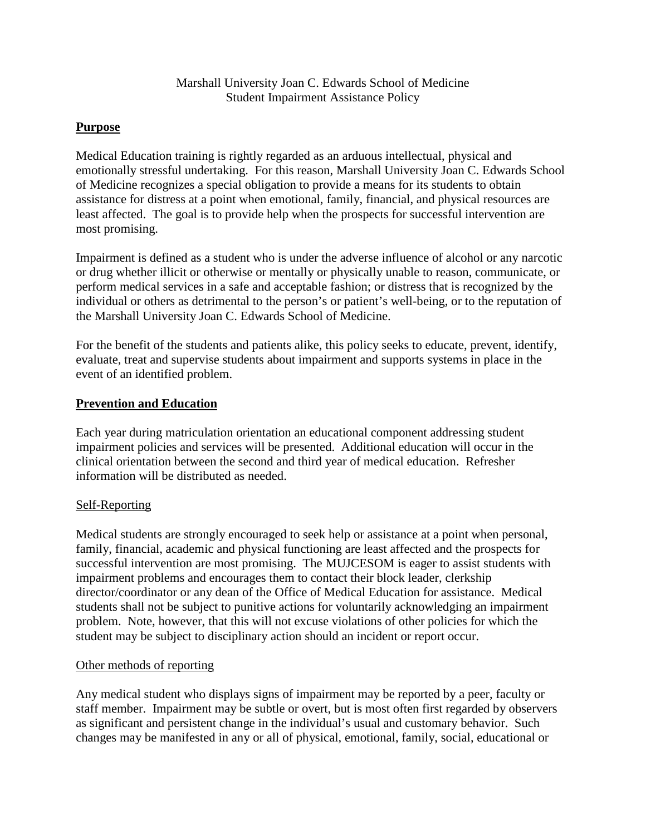Marshall University Joan C. Edwards School of Medicine Student Impairment Assistance Policy

## **Purpose**

Medical Education training is rightly regarded as an arduous intellectual, physical and emotionally stressful undertaking. For this reason, Marshall University Joan C. Edwards School of Medicine recognizes a special obligation to provide a means for its students to obtain assistance for distress at a point when emotional, family, financial, and physical resources are least affected. The goal is to provide help when the prospects for successful intervention are most promising.

Impairment is defined as a student who is under the adverse influence of alcohol or any narcotic or drug whether illicit or otherwise or mentally or physically unable to reason, communicate, or perform medical services in a safe and acceptable fashion; or distress that is recognized by the individual or others as detrimental to the person's or patient's well-being, or to the reputation of the Marshall University Joan C. Edwards School of Medicine.

For the benefit of the students and patients alike, this policy seeks to educate, prevent, identify, evaluate, treat and supervise students about impairment and supports systems in place in the event of an identified problem.

# **Prevention and Education**

Each year during matriculation orientation an educational component addressing student impairment policies and services will be presented. Additional education will occur in the clinical orientation between the second and third year of medical education. Refresher information will be distributed as needed.

## Self-Reporting

Medical students are strongly encouraged to seek help or assistance at a point when personal, family, financial, academic and physical functioning are least affected and the prospects for successful intervention are most promising. The MUJCESOM is eager to assist students with impairment problems and encourages them to contact their block leader, clerkship director/coordinator or any dean of the Office of Medical Education for assistance. Medical students shall not be subject to punitive actions for voluntarily acknowledging an impairment problem. Note, however, that this will not excuse violations of other policies for which the student may be subject to disciplinary action should an incident or report occur.

## Other methods of reporting

Any medical student who displays signs of impairment may be reported by a peer, faculty or staff member. Impairment may be subtle or overt, but is most often first regarded by observers as significant and persistent change in the individual's usual and customary behavior. Such changes may be manifested in any or all of physical, emotional, family, social, educational or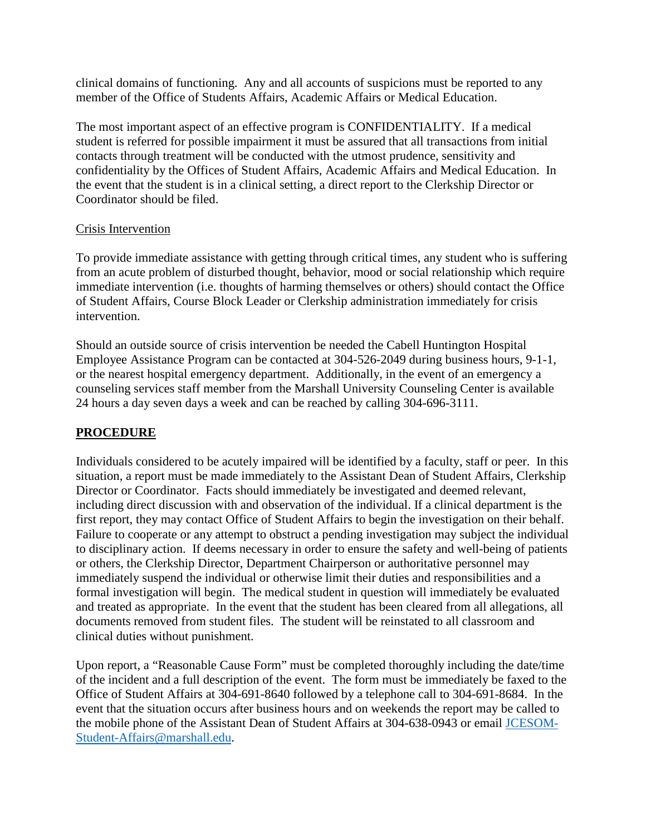clinical domains of functioning. Any and all accounts of suspicions must be reported to any member of the Office of Students Affairs, Academic Affairs or Medical Education.

The most important aspect of an effective program is CONFIDENTIALITY. If a medical student is referred for possible impairment it must be assured that all transactions from initial contacts through treatment will be conducted with the utmost prudence, sensitivity and confidentiality by the Offices of Student Affairs, Academic Affairs and Medical Education. In the event that the student is in a clinical setting, a direct report to the Clerkship Director or Coordinator should be filed.

### Crisis Intervention

To provide immediate assistance with getting through critical times, any student who is suffering from an acute problem of disturbed thought, behavior, mood or social relationship which require immediate intervention (i.e. thoughts of harming themselves or others) should contact the Office of Student Affairs, Course Block Leader or Clerkship administration immediately for crisis intervention.

Should an outside source of crisis intervention be needed the Cabell Huntington Hospital Employee Assistance Program can be contacted at 304-526-2049 during business hours, 9-1-1, or the nearest hospital emergency department. Additionally, in the event of an emergency a counseling services staff member from the Marshall University Counseling Center is available 24 hours a day seven days a week and can be reached by calling 304-696-3111.

## **PROCEDURE**

Individuals considered to be acutely impaired will be identified by a faculty, staff or peer. In this situation, a report must be made immediately to the Assistant Dean of Student Affairs, Clerkship Director or Coordinator. Facts should immediately be investigated and deemed relevant, including direct discussion with and observation of the individual. If a clinical department is the first report, they may contact Office of Student Affairs to begin the investigation on their behalf. Failure to cooperate or any attempt to obstruct a pending investigation may subject the individual to disciplinary action. If deems necessary in order to ensure the safety and well-being of patients or others, the Clerkship Director, Department Chairperson or authoritative personnel may immediately suspend the individual or otherwise limit their duties and responsibilities and a formal investigation will begin. The medical student in question will immediately be evaluated and treated as appropriate. In the event that the student has been cleared from all allegations, all documents removed from student files. The student will be reinstated to all classroom and clinical duties without punishment.

Upon report, a "Reasonable Cause Form" must be completed thoroughly including the date/time of the incident and a full description of the event. The form must be immediately be faxed to the Office of Student Affairs at 304-691-8640 followed by a telephone call to 304-691-8684. In the event that the situation occurs after business hours and on weekends the report may be called to the mobile phone of the Assistant Dean of Student Affairs at 304-638-0943 or email [JCESOM-](mailto:JCESOM-Student-Affairs@marshall.edu)[Student-Affairs@marshall.edu.](mailto:JCESOM-Student-Affairs@marshall.edu)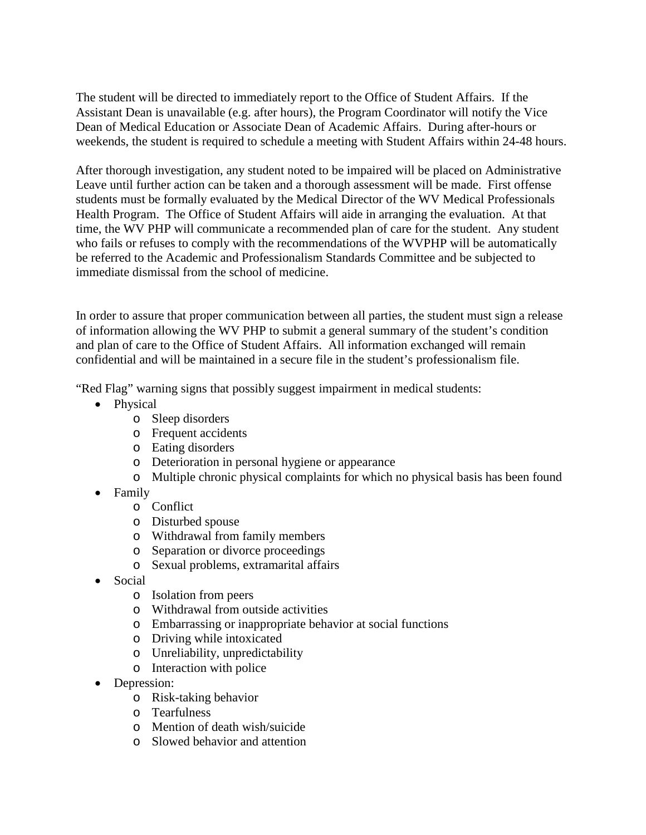The student will be directed to immediately report to the Office of Student Affairs. If the Assistant Dean is unavailable (e.g. after hours), the Program Coordinator will notify the Vice Dean of Medical Education or Associate Dean of Academic Affairs. During after-hours or weekends, the student is required to schedule a meeting with Student Affairs within 24-48 hours.

After thorough investigation, any student noted to be impaired will be placed on Administrative Leave until further action can be taken and a thorough assessment will be made. First offense students must be formally evaluated by the Medical Director of the WV Medical Professionals Health Program. The Office of Student Affairs will aide in arranging the evaluation. At that time, the WV PHP will communicate a recommended plan of care for the student. Any student who fails or refuses to comply with the recommendations of the WVPHP will be automatically be referred to the Academic and Professionalism Standards Committee and be subjected to immediate dismissal from the school of medicine.

In order to assure that proper communication between all parties, the student must sign a release of information allowing the WV PHP to submit a general summary of the student's condition and plan of care to the Office of Student Affairs. All information exchanged will remain confidential and will be maintained in a secure file in the student's professionalism file.

"Red Flag" warning signs that possibly suggest impairment in medical students:

- Physical
	- o Sleep disorders
	- o Frequent accidents
	- o Eating disorders
	- o Deterioration in personal hygiene or appearance
	- o Multiple chronic physical complaints for which no physical basis has been found
- Family
	- o Conflict
	- o Disturbed spouse
	- o Withdrawal from family members
	- o Separation or divorce proceedings
	- o Sexual problems, extramarital affairs
- Social
	- o Isolation from peers
	- o Withdrawal from outside activities
	- o Embarrassing or inappropriate behavior at social functions
	- o Driving while intoxicated
	- o Unreliability, unpredictability
	- o Interaction with police
- Depression:
	- o Risk-taking behavior
	- o Tearfulness
	- o Mention of death wish/suicide
	- o Slowed behavior and attention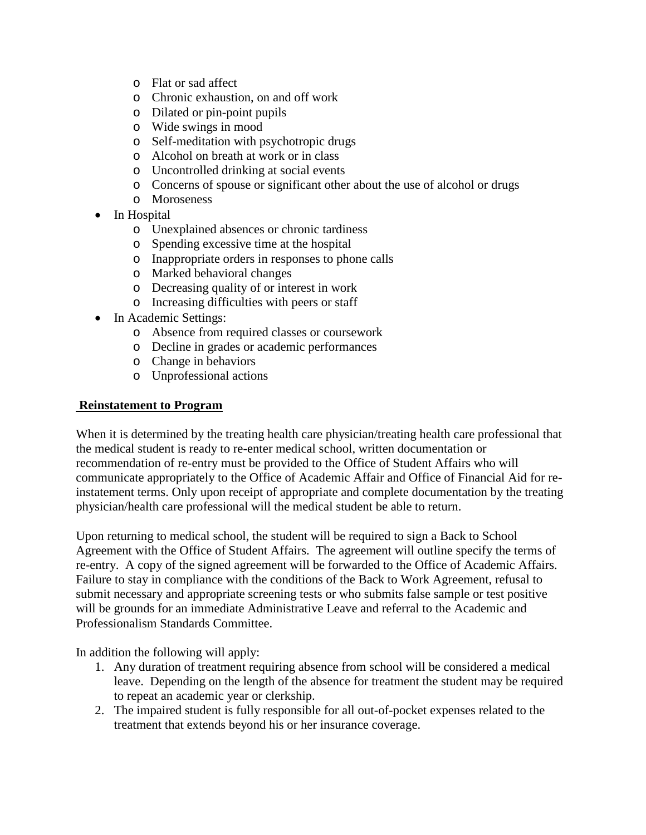- o Flat or sad affect
- o Chronic exhaustion, on and off work
- o Dilated or pin-point pupils
- o Wide swings in mood
- o Self-meditation with psychotropic drugs
- o Alcohol on breath at work or in class
- o Uncontrolled drinking at social events
- o Concerns of spouse or significant other about the use of alcohol or drugs
- o Moroseness
- In Hospital
	- o Unexplained absences or chronic tardiness
	- o Spending excessive time at the hospital
	- o Inappropriate orders in responses to phone calls
	- o Marked behavioral changes
	- o Decreasing quality of or interest in work
	- o Increasing difficulties with peers or staff
- In Academic Settings:
	- o Absence from required classes or coursework
	- o Decline in grades or academic performances
	- o Change in behaviors
	- o Unprofessional actions

### **Reinstatement to Program**

When it is determined by the treating health care physician/treating health care professional that the medical student is ready to re-enter medical school, written documentation or recommendation of re-entry must be provided to the Office of Student Affairs who will communicate appropriately to the Office of Academic Affair and Office of Financial Aid for reinstatement terms. Only upon receipt of appropriate and complete documentation by the treating physician/health care professional will the medical student be able to return.

Upon returning to medical school, the student will be required to sign a Back to School Agreement with the Office of Student Affairs. The agreement will outline specify the terms of re-entry. A copy of the signed agreement will be forwarded to the Office of Academic Affairs. Failure to stay in compliance with the conditions of the Back to Work Agreement, refusal to submit necessary and appropriate screening tests or who submits false sample or test positive will be grounds for an immediate Administrative Leave and referral to the Academic and Professionalism Standards Committee.

In addition the following will apply:

- 1. Any duration of treatment requiring absence from school will be considered a medical leave. Depending on the length of the absence for treatment the student may be required to repeat an academic year or clerkship.
- 2. The impaired student is fully responsible for all out-of-pocket expenses related to the treatment that extends beyond his or her insurance coverage.